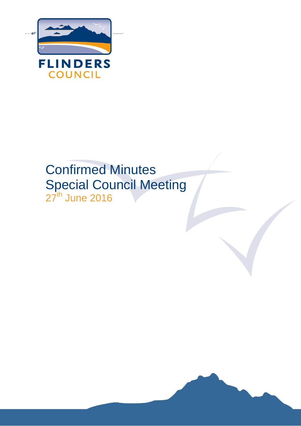

# Confirmed Minutes Special Council Meeting 27<sup>th</sup> June 2016

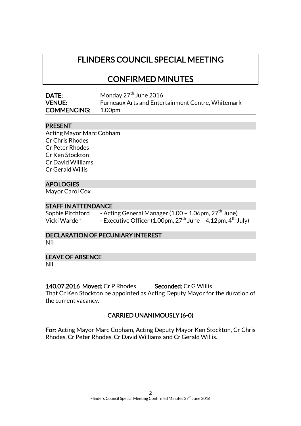# FLINDERS COUNCIL SPECIAL MEETING

# CONFIRMED MINUTES

| DATE:              | Monday 27 <sup>th</sup> June 2016                        |
|--------------------|----------------------------------------------------------|
| <b>VENUE:</b>      | <b>Furneaux Arts and Entertainment Centre, Whitemark</b> |
| <b>COMMENCING:</b> | 1.00pm                                                   |

#### PRESENT

Acting Mayor Marc Cobham Cr Chris Rhodes Cr Peter Rhodes Cr Ken Stockton Cr David Williams Cr Gerald Willis

# APOLOGIES

Mayor Carol Cox

#### STAFF IN ATTENDANCE

Sophie Pitchford - Acting General Manager (1.00 - 1.06pm, 27<sup>th</sup> June) Vicki Warden - Executive Officer (1.00pm, 27<sup>th</sup> June – 4.12pm, 4<sup>th</sup> July)

# DECLARATION OF PECUNIARY INTEREST

Nil

#### LEAVE OF ABSENCE

Nil

140.07.2016 Moved: Cr P Rhodes Seconded: Cr G Willis

That Cr Ken Stockton be appointed as Acting Deputy Mayor for the duration of the current vacancy.

# CARRIED UNANIMOUSLY (6-0)

For: Acting Mayor Marc Cobham, Acting Deputy Mayor Ken Stockton, Cr Chris Rhodes, Cr Peter Rhodes, Cr David Williams and Cr Gerald Willis.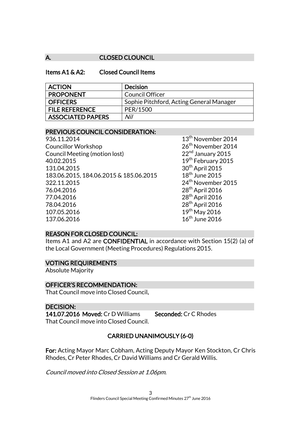### A. CLOSED CLOUNCIL

#### Items A1 & A2: Closed Council Items

| <b>ACTION</b>            | <b>Decision</b>                          |
|--------------------------|------------------------------------------|
| <b>PROPONENT</b>         | Council Officer                          |
| <b>OFFICERS</b>          | Sophie Pitchford, Acting General Manager |
| <b>FILE REFERENCE</b>    | PER/1500                                 |
| <b>ASSOCIATED PAPERS</b> | Nil                                      |

#### PREVIOUS COUNCIL CONSIDERATION:

| 936.11.2014                            |
|----------------------------------------|
| <b>Councillor Workshop</b>             |
| Council Meeting (motion lost)          |
| 40.02.2015                             |
| 131.04.2015                            |
| 183.06.2015, 184.06.2015 & 185.06.2015 |
| 322.11.2015                            |
| 76.04.2016                             |
| 77.04.2016                             |
| 78.04.2016                             |
| 107.05.2016                            |
| 137 06 2016                            |

13<sup>th</sup> November 2014 26<sup>th</sup> November 2014  $22<sup>nd</sup>$  January 2015 19<sup>th</sup> February 2015  $30<sup>th</sup>$  April 2015  $18<sup>th</sup>$  June 2015 24<sup>th</sup> November 2015  $28<sup>th</sup>$  April 2016  $28<sup>th</sup>$  April 2016  $28^{th}$  April 2016  $19<sup>th</sup>$  May 2016  $16<sup>th</sup>$  June 2016

#### REASON FOR CLOSED COUNCIL:

Items A1 and A2 are CONFIDENTIAL in accordance with Section 15(2) (a) of the Local Government (Meeting Procedures) Regulations 2015.

#### VOTING REQUIREMENTS

Absolute Majority

#### OFFICER'S RECOMMENDATION:

That Council move into Closed Council.

#### DECISION:

141.07.2016 Moved: Cr D Williams Seconded: Cr C Rhodes That Council move into Closed Council.

# CARRIED UNANIMOUSLY (6-0)

For: Acting Mayor Marc Cobham, Acting Deputy Mayor Ken Stockton, Cr Chris Rhodes, Cr Peter Rhodes, Cr David Williams and Cr Gerald Willis.

Council moved into Closed Session at 1.06pm.